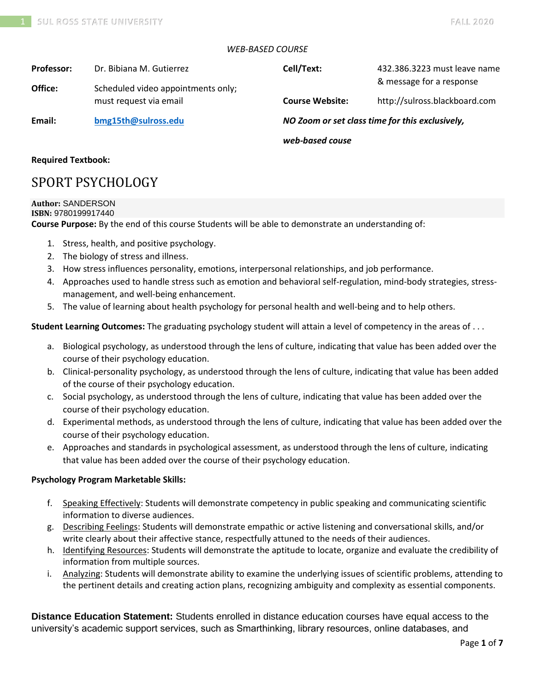# *WEB-BASED COURSE*

| <b>Professor:</b><br>Office: | Dr. Bibiana M. Gutierrez<br>Scheduled video appointments only; | Cell/Text:                                      | 432.386.3223 must leave name<br>& message for a response |
|------------------------------|----------------------------------------------------------------|-------------------------------------------------|----------------------------------------------------------|
|                              | must request via email                                         | <b>Course Website:</b>                          | http://sulross.blackboard.com                            |
| Email:                       | bmg15th@sulross.edu                                            | NO Zoom or set class time for this exclusively, |                                                          |
|                              |                                                                | web-based couse                                 |                                                          |

# **Required Textbook:**

# SPORT PSYCHOLOGY

# **Author:** SANDERSON

#### **ISBN:** 9780199917440

**Course Purpose:** By the end of this course Students will be able to demonstrate an understanding of:

- 1. Stress, health, and positive psychology.
- 2. The biology of stress and illness.
- 3. How stress influences personality, emotions, interpersonal relationships, and job performance.
- 4. Approaches used to handle stress such as emotion and behavioral self-regulation, mind-body strategies, stressmanagement, and well-being enhancement.
- 5. The value of learning about health psychology for personal health and well-being and to help others.

**Student Learning Outcomes:** The graduating psychology student will attain a level of competency in the areas of . . .

- a. Biological psychology, as understood through the lens of culture, indicating that value has been added over the course of their psychology education.
- b. Clinical-personality psychology, as understood through the lens of culture, indicating that value has been added of the course of their psychology education.
- c. Social psychology, as understood through the lens of culture, indicating that value has been added over the course of their psychology education.
- d. Experimental methods, as understood through the lens of culture, indicating that value has been added over the course of their psychology education.
- e. Approaches and standards in psychological assessment, as understood through the lens of culture, indicating that value has been added over the course of their psychology education.

# **Psychology Program Marketable Skills:**

- f. Speaking Effectively: Students will demonstrate competency in public speaking and communicating scientific information to diverse audiences.
- g. Describing Feelings: Students will demonstrate empathic or active listening and conversational skills, and/or write clearly about their affective stance, respectfully attuned to the needs of their audiences.
- h. Identifying Resources: Students will demonstrate the aptitude to locate, organize and evaluate the credibility of information from multiple sources.
- i. Analyzing: Students will demonstrate ability to examine the underlying issues of scientific problems, attending to the pertinent details and creating action plans, recognizing ambiguity and complexity as essential components.

**Distance Education Statement:** Students enrolled in distance education courses have equal access to the university's academic support services, such as Smarthinking, library resources, online databases, and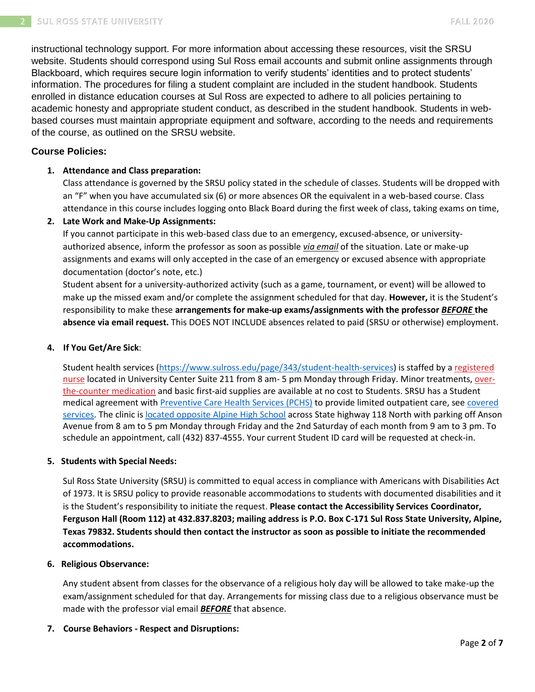instructional technology support. For more information about accessing these resources, visit the SRSU website. Students should correspond using Sul Ross email accounts and submit online assignments through Blackboard, which requires secure login information to verify students' identities and to protect students' information. The procedures for filing a student complaint are included in the student handbook. Students enrolled in distance education courses at Sul Ross are expected to adhere to all policies pertaining to academic honesty and appropriate student conduct, as described in the student handbook. Students in webbased courses must maintain appropriate equipment and software, according to the needs and requirements of the course, as outlined on the SRSU website.

# **Course Policies:**

# **1. Attendance and Class preparation:**

Class attendance is governed by the SRSU policy stated in the schedule of classes. Students will be dropped with an "F" when you have accumulated six (6) or more absences OR the equivalent in a web-based course. Class attendance in this course includes logging onto Black Board during the first week of class, taking exams on time,

# **2. Late Work and Make-Up Assignments:**

If you cannot participate in this web-based class due to an emergency, excused-absence, or universityauthorized absence, inform the professor as soon as possible *via email* of the situation. Late or make-up assignments and exams will only accepted in the case of an emergency or excused absence with appropriate documentation (doctor's note, etc.)

Student absent for a university-authorized activity (such as a game, tournament, or event) will be allowed to make up the missed exam and/or complete the assignment scheduled for that day. **However,** it is the Student's responsibility to make these **arrangements for make-up exams/assignments with the professor** *BEFORE* **the absence via email request.** This DOES NOT INCLUDE absences related to paid (SRSU or otherwise) employment.

# **4. If You Get/Are Sick**:

Student health services [\(https://www.sulross.edu/page/343/student-health-services\)](https://www.sulross.edu/page/343/student-health-services) is staffed by a [registered](https://www.sulross.edu/faculty-and-staff/945/health-services-coordinator)  [nurse](https://www.sulross.edu/faculty-and-staff/945/health-services-coordinator) located in University Center Suite 211 from 8 am- 5 pm Monday through Friday. Minor treatments, [over](http://www.sulross.edu/page/1462/medications)[the-counter medication](http://www.sulross.edu/page/1462/medications) and basic first-aid supplies are available at no cost to Students. SRSU has a Student medical agreement with [Preventive Care Health Services \(PCHS\)](http://www.pchsmedclinic.org/locations) to provide limited outpatient care, see [covered](http://www.sulross.edu/page/1471/preventive-care-health-services)  [services.](http://www.sulross.edu/page/1471/preventive-care-health-services) The clinic is [located opposite Alpine High School](http://www.sulross.edu/gallery-image/4341/health-service-locations) across State highway 118 North with parking off Anson Avenue from 8 am to 5 pm Monday through Friday and the 2nd Saturday of each month from 9 am to 3 pm. To schedule an appointment, call (432) 837-4555. Your current Student ID card will be requested at check-in.

## **5. Students with Special Needs:**

Sul Ross State University (SRSU) is committed to equal access in compliance with Americans with Disabilities Act of 1973. It is SRSU policy to provide reasonable accommodations to students with documented disabilities and it is the Student's responsibility to initiate the request. **Please contact the Accessibility Services Coordinator, Ferguson Hall (Room 112) at 432.837.8203; mailing address is P.O. Box C-171 Sul Ross State University, Alpine, Texas 79832. Students should then contact the instructor as soon as possible to initiate the recommended accommodations.**

# **6. Religious Observance:**

Any student absent from classes for the observance of a religious holy day will be allowed to take make-up the exam/assignment scheduled for that day. Arrangements for missing class due to a religious observance must be made with the professor vial email *BEFORE* that absence.

**7. Course Behaviors - Respect and Disruptions:**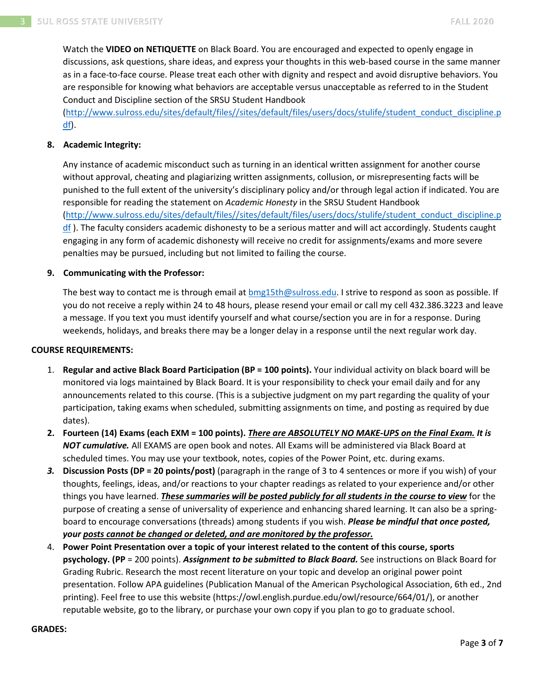Watch the **VIDEO on NETIQUETTE** on Black Board. You are encouraged and expected to openly engage in discussions, ask questions, share ideas, and express your thoughts in this web-based course in the same manner as in a face-to-face course. Please treat each other with dignity and respect and avoid disruptive behaviors. You are responsible for knowing what behaviors are acceptable versus unacceptable as referred to in the Student Conduct and Discipline section of the SRSU Student Handbook

[\(http://www.sulross.edu/sites/default/files//sites/default/files/users/docs/stulife/student\\_conduct\\_discipline.p](http://www.sulross.edu/sites/default/files/sites/default/files/users/docs/stulife/student_conduct_discipline.pdf)  $df$ ).

# **8. Academic Integrity:**

Any instance of academic misconduct such as turning in an identical written assignment for another course without approval, cheating and plagiarizing written assignments, collusion, or misrepresenting facts will be punished to the full extent of the university's disciplinary policy and/or through legal action if indicated. You are responsible for reading the statement on *Academic Honesty* in the SRSU Student Handbook [\(http://www.sulross.edu/sites/default/files//sites/default/files/users/docs/stulife/student\\_conduct\\_discipline.p](http://www.sulross.edu/sites/default/files/sites/default/files/users/docs/stulife/student_conduct_discipline.pdf) [df](http://www.sulross.edu/sites/default/files/sites/default/files/users/docs/stulife/student_conduct_discipline.pdf)). The faculty considers academic dishonesty to be a serious matter and will act accordingly. Students caught engaging in any form of academic dishonesty will receive no credit for assignments/exams and more severe penalties may be pursued, including but not limited to failing the course.

### **9. Communicating with the Professor:**

The best way to contact me is through email at **bmg15th@sulross.edu.** I strive to respond as soon as possible. If you do not receive a reply within 24 to 48 hours, please resend your email or call my cell 432.386.3223 and leave a message. If you text you must identify yourself and what course/section you are in for a response. During weekends, holidays, and breaks there may be a longer delay in a response until the next regular work day.

### **COURSE REQUIREMENTS:**

- 1. **Regular and active Black Board Participation (BP = 100 points).** Your individual activity on black board will be monitored via logs maintained by Black Board. It is your responsibility to check your email daily and for any announcements related to this course. (This is a subjective judgment on my part regarding the quality of your participation, taking exams when scheduled, submitting assignments on time, and posting as required by due dates).
- **2. Fourteen (14) Exams (each EXM = 100 points).** *There are ABSOLUTELY NO MAKE-UPS on the Final Exam. It is NOT cumulative.* All EXAMS are open book and notes. All Exams will be administered via Black Board at scheduled times. You may use your textbook, notes, copies of the Power Point, etc. during exams.
- *3.* **Discussion Posts (DP = 20 points/post)** (paragraph in the range of 3 to 4 sentences or more if you wish) of your thoughts, feelings, ideas, and/or reactions to your chapter readings as related to your experience and/or other things you have learned. *These summaries will be posted publicly for all students in the course to view* for the purpose of creating a sense of universality of experience and enhancing shared learning. It can also be a springboard to encourage conversations (threads) among students if you wish. *Please be mindful that once posted, your posts cannot be changed or deleted, and are monitored by the professor.*
- 4. **Power Point Presentation over a topic of your interest related to the content of this course, sports psychology. (PP** = 200 points). *Assignment to be submitted to Black Board.* See instructions on Black Board for Grading Rubric. Research the most recent literature on your topic and develop an original power point presentation. Follow APA guidelines (Publication Manual of the American Psychological Association, 6th ed., 2nd printing). Feel free to use this website (https://owl.english.purdue.edu/owl/resource/664/01/), or another reputable website, go to the library, or purchase your own copy if you plan to go to graduate school.

### **GRADES:**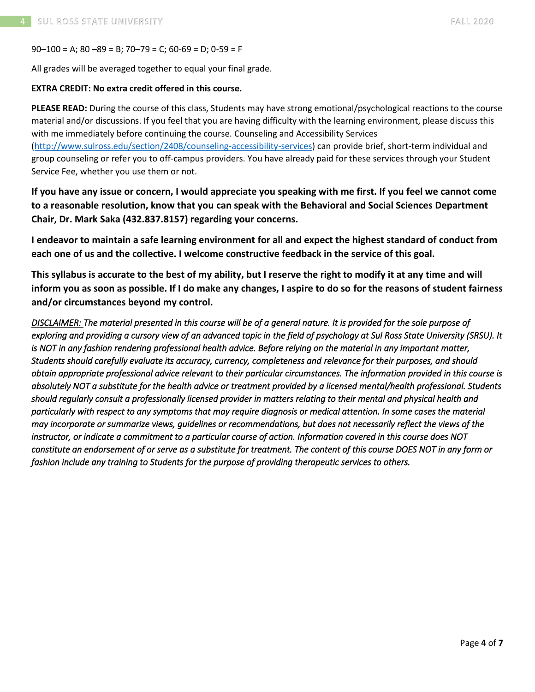$90-100 = A$ ;  $80-89 = B$ ;  $70-79 = C$ ;  $60-69 = D$ ;  $0-59 = F$ 

All grades will be averaged together to equal your final grade.

# **EXTRA CREDIT: No extra credit offered in this course.**

**PLEASE READ:** During the course of this class, Students may have strong emotional/psychological reactions to the course material and/or discussions. If you feel that you are having difficulty with the learning environment, please discuss this with me immediately before continuing the course. Counseling and Accessibility Services [\(http://www.sulross.edu/section/2408/counseling-accessibility-services\)](http://www.sulross.edu/section/2408/counseling-accessibility-services) can provide brief, short-term individual and group counseling or refer you to off-campus providers. You have already paid for these services through your Student Service Fee, whether you use them or not.

**If you have any issue or concern, I would appreciate you speaking with me first. If you feel we cannot come to a reasonable resolution, know that you can speak with the Behavioral and Social Sciences Department Chair, Dr. Mark Saka (432.837.8157) regarding your concerns.**

**I endeavor to maintain a safe learning environment for all and expect the highest standard of conduct from each one of us and the collective. I welcome constructive feedback in the service of this goal.**

**This syllabus is accurate to the best of my ability, but I reserve the right to modify it at any time and will inform you as soon as possible. If I do make any changes, I aspire to do so for the reasons of student fairness and/or circumstances beyond my control.**

*DISCLAIMER: The material presented in this course will be of a general nature. It is provided for the sole purpose of exploring and providing a cursory view of an advanced topic in the field of psychology at Sul Ross State University (SRSU). It is NOT in any fashion rendering professional health advice. Before relying on the material in any important matter, Students should carefully evaluate its accuracy, currency, completeness and relevance for their purposes, and should obtain appropriate professional advice relevant to their particular circumstances. The information provided in this course is absolutely NOT a substitute for the health advice or treatment provided by a licensed mental/health professional. Students should regularly consult a professionally licensed provider in matters relating to their mental and physical health and particularly with respect to any symptoms that may require diagnosis or medical attention. In some cases the material may incorporate or summarize views, guidelines or recommendations, but does not necessarily reflect the views of the instructor, or indicate a commitment to a particular course of action. Information covered in this course does NOT constitute an endorsement of or serve as a substitute for treatment. The content of this course DOES NOT in any form or fashion include any training to Students for the purpose of providing therapeutic services to others.*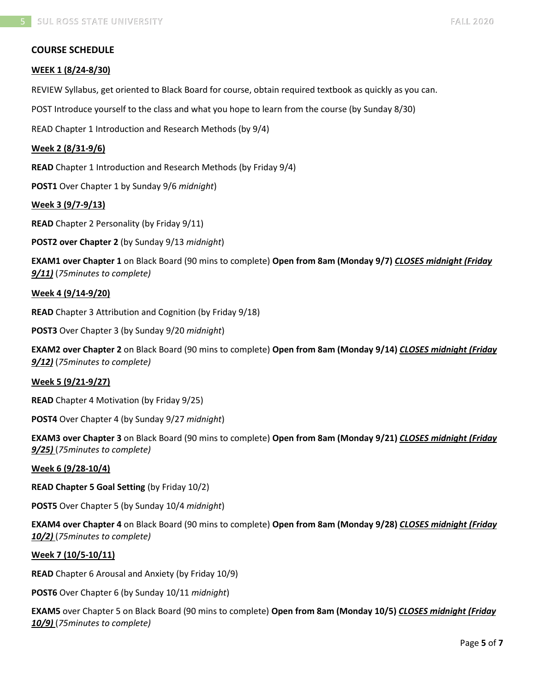# **COURSE SCHEDULE**

### **WEEK 1 (8/24-8/30)**

REVIEW Syllabus, get oriented to Black Board for course, obtain required textbook as quickly as you can.

POST Introduce yourself to the class and what you hope to learn from the course (by Sunday 8/30)

READ Chapter 1 Introduction and Research Methods (by 9/4)

### **Week 2 (8/31-9/6)**

**READ** Chapter 1 Introduction and Research Methods (by Friday 9/4)

**POST1** Over Chapter 1 by Sunday 9/6 *midnight*)

**Week 3 (9/7-9/13)**

**READ** Chapter 2 Personality (by Friday 9/11)

**POST2 over Chapter 2** (by Sunday 9/13 *midnight*)

**EXAM1 over Chapter 1** on Black Board (90 mins to complete) **Open from 8am (Monday 9/7)** *CLOSES midnight (Friday 9/11)* (*75minutes to complete)*

#### **Week 4 (9/14-9/20)**

**READ** Chapter 3 Attribution and Cognition (by Friday 9/18)

**POST3** Over Chapter 3 (by Sunday 9/20 *midnight*)

**EXAM2 over Chapter 2** on Black Board (90 mins to complete) **Open from 8am (Monday 9/14)** *CLOSES midnight (Friday 9/12)* (*75minutes to complete)*

### **Week 5 (9/21-9/27)**

**READ** Chapter 4 Motivation (by Friday 9/25)

**POST4** Over Chapter 4 (by Sunday 9/27 *midnight*)

**EXAM3 over Chapter 3** on Black Board (90 mins to complete) **Open from 8am (Monday 9/21)** *CLOSES midnight (Friday 9/25)* (*75minutes to complete)*

#### **Week 6 (9/28-10/4)**

**READ Chapter 5 Goal Setting** (by Friday 10/2)

**POST5** Over Chapter 5 (by Sunday 10/4 *midnight*)

**EXAM4 over Chapter 4** on Black Board (90 mins to complete) **Open from 8am (Monday 9/28)** *CLOSES midnight (Friday 10/2)* (*75minutes to complete)*

#### **Week 7 (10/5-10/11)**

**READ** Chapter 6 Arousal and Anxiety (by Friday 10/9)

**POST6** Over Chapter 6 (by Sunday 10/11 *midnight*)

**EXAM5** over Chapter 5 on Black Board (90 mins to complete) **Open from 8am (Monday 10/5)** *CLOSES midnight (Friday 10/9)* (*75minutes to complete)*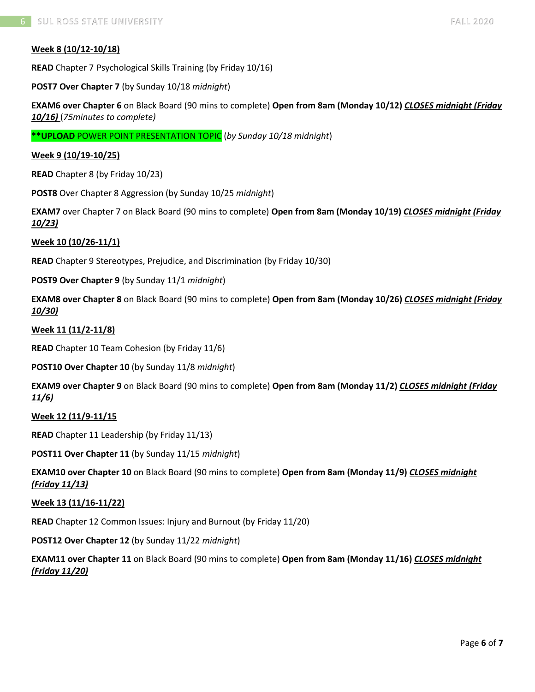# **Week 8 (10/12-10/18)**

**READ** Chapter 7 Psychological Skills Training (by Friday 10/16)

**POST7 Over Chapter 7** (by Sunday 10/18 *midnight*)

**EXAM6 over Chapter 6** on Black Board (90 mins to complete) **Open from 8am (Monday 10/12)** *CLOSES midnight (Friday 10/16)* (*75minutes to complete)*

**\*\*UPLOAD** POWER POINT PRESENTATION TOPIC (*by Sunday 10/18 midnight*)

### **Week 9 (10/19-10/25)**

**READ** Chapter 8 (by Friday 10/23)

**POST8** Over Chapter 8 Aggression (by Sunday 10/25 *midnight*)

**EXAM7** over Chapter 7 on Black Board (90 mins to complete) **Open from 8am (Monday 10/19)** *CLOSES midnight (Friday 10/23)*

#### **Week 10 (10/26-11/1)**

**READ** Chapter 9 Stereotypes, Prejudice, and Discrimination (by Friday 10/30)

**POST9 Over Chapter 9** (by Sunday 11/1 *midnight*)

**EXAM8 over Chapter 8** on Black Board (90 mins to complete) **Open from 8am (Monday 10/26)** *CLOSES midnight (Friday 10/30)*

#### **Week 11 (11/2-11/8)**

**READ** Chapter 10 Team Cohesion (by Friday 11/6)

**POST10 Over Chapter 10** (by Sunday 11/8 *midnight*)

**EXAM9 over Chapter 9** on Black Board (90 mins to complete) **Open from 8am (Monday 11/2)** *CLOSES midnight (Friday 11/6)*

#### **Week 12 (11/9-11/15**

**READ** Chapter 11 Leadership (by Friday 11/13)

**POST11 Over Chapter 11** (by Sunday 11/15 *midnight*)

**EXAM10 over Chapter 10** on Black Board (90 mins to complete) **Open from 8am (Monday 11/9)** *CLOSES midnight (Friday 11/13)* 

#### **Week 13 (11/16-11/22)**

**READ** Chapter 12 Common Issues: Injury and Burnout (by Friday 11/20)

**POST12 Over Chapter 12** (by Sunday 11/22 *midnight*)

**EXAM11 over Chapter 11** on Black Board (90 mins to complete) **Open from 8am (Monday 11/16)** *CLOSES midnight (Friday 11/20)*